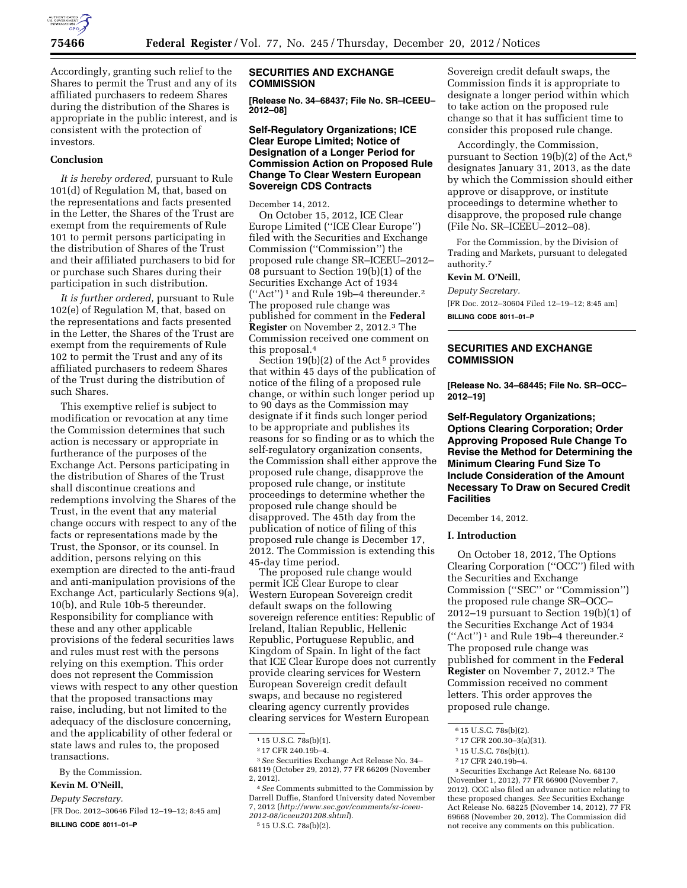

Accordingly, granting such relief to the Shares to permit the Trust and any of its affiliated purchasers to redeem Shares during the distribution of the Shares is appropriate in the public interest, and is consistent with the protection of investors.

## **Conclusion**

*It is hereby ordered,* pursuant to Rule 101(d) of Regulation M, that, based on the representations and facts presented in the Letter, the Shares of the Trust are exempt from the requirements of Rule 101 to permit persons participating in the distribution of Shares of the Trust and their affiliated purchasers to bid for or purchase such Shares during their participation in such distribution.

*It is further ordered,* pursuant to Rule 102(e) of Regulation M, that, based on the representations and facts presented in the Letter, the Shares of the Trust are exempt from the requirements of Rule 102 to permit the Trust and any of its affiliated purchasers to redeem Shares of the Trust during the distribution of such Shares.

This exemptive relief is subject to modification or revocation at any time the Commission determines that such action is necessary or appropriate in furtherance of the purposes of the Exchange Act. Persons participating in the distribution of Shares of the Trust shall discontinue creations and redemptions involving the Shares of the Trust, in the event that any material change occurs with respect to any of the facts or representations made by the Trust, the Sponsor, or its counsel. In addition, persons relying on this exemption are directed to the anti-fraud and anti-manipulation provisions of the Exchange Act, particularly Sections 9(a), 10(b), and Rule 10b-5 thereunder. Responsibility for compliance with these and any other applicable provisions of the federal securities laws and rules must rest with the persons relying on this exemption. This order does not represent the Commission views with respect to any other question that the proposed transactions may raise, including, but not limited to the adequacy of the disclosure concerning, and the applicability of other federal or state laws and rules to, the proposed transactions.

By the Commission.

#### **Kevin M. O'Neill,**

*Deputy Secretary.* 

[FR Doc. 2012–30646 Filed 12–19–12; 8:45 am]

**BILLING CODE 8011–01–P** 

### **SECURITIES AND EXCHANGE COMMISSION**

**[Release No. 34–68437; File No. SR–ICEEU– 2012–08]** 

## **Self-Regulatory Organizations; ICE Clear Europe Limited; Notice of Designation of a Longer Period for Commission Action on Proposed Rule Change To Clear Western European Sovereign CDS Contracts**

December 14, 2012.

On October 15, 2012, ICE Clear Europe Limited (''ICE Clear Europe'') filed with the Securities and Exchange Commission (''Commission'') the proposed rule change SR–ICEEU–2012– 08 pursuant to Section 19(b)(1) of the Securities Exchange Act of 1934 (''Act'') 1 and Rule 19b–4 thereunder.2 The proposed rule change was published for comment in the **Federal Register** on November 2, 2012.3 The Commission received one comment on this proposal.4

Section  $19(b)(2)$  of the Act<sup>5</sup> provides that within 45 days of the publication of notice of the filing of a proposed rule change, or within such longer period up to 90 days as the Commission may designate if it finds such longer period to be appropriate and publishes its reasons for so finding or as to which the self-regulatory organization consents, the Commission shall either approve the proposed rule change, disapprove the proposed rule change, or institute proceedings to determine whether the proposed rule change should be disapproved. The 45th day from the publication of notice of filing of this proposed rule change is December 17, 2012. The Commission is extending this 45-day time period.

The proposed rule change would permit ICE Clear Europe to clear Western European Sovereign credit default swaps on the following sovereign reference entities: Republic of Ireland, Italian Republic, Hellenic Republic, Portuguese Republic, and Kingdom of Spain. In light of the fact that ICE Clear Europe does not currently provide clearing services for Western European Sovereign credit default swaps, and because no registered clearing agency currently provides clearing services for Western European

4*See* Comments submitted to the Commission by Darrell Duffie, Stanford University dated November 7, 2012 (*[http://www.sec.gov/comments/sr-iceeu-](http://www.sec.gov/comments/sr-iceeu-2012-08/iceeu201208.shtml)[2012-08/iceeu201208.shtml](http://www.sec.gov/comments/sr-iceeu-2012-08/iceeu201208.shtml)*).

5 15 U.S.C. 78s(b)(2).

Sovereign credit default swaps, the Commission finds it is appropriate to designate a longer period within which to take action on the proposed rule change so that it has sufficient time to consider this proposed rule change.

Accordingly, the Commission, pursuant to Section 19(b)(2) of the Act,6 designates January 31, 2013, as the date by which the Commission should either approve or disapprove, or institute proceedings to determine whether to disapprove, the proposed rule change (File No. SR–ICEEU–2012–08).

For the Commission, by the Division of Trading and Markets, pursuant to delegated authority.7

### **Kevin M. O'Neill,**

*Deputy Secretary.* 

[FR Doc. 2012–30604 Filed 12–19–12; 8:45 am] **BILLING CODE 8011–01–P** 

## **SECURITIES AND EXCHANGE COMMISSION**

**[Release No. 34–68445; File No. SR–OCC– 2012–19]** 

**Self-Regulatory Organizations; Options Clearing Corporation; Order Approving Proposed Rule Change To Revise the Method for Determining the Minimum Clearing Fund Size To Include Consideration of the Amount Necessary To Draw on Secured Credit Facilities** 

December 14, 2012.

### **I. Introduction**

On October 18, 2012, The Options Clearing Corporation (''OCC'') filed with the Securities and Exchange Commission (''SEC'' or ''Commission'') the proposed rule change SR–OCC– 2012–19 pursuant to Section 19(b)(1) of the Securities Exchange Act of 1934 (''Act'') 1 and Rule 19b–4 thereunder.2 The proposed rule change was published for comment in the **Federal Register** on November 7, 2012.3 The Commission received no comment letters. This order approves the proposed rule change.

7 17 CFR 200.30–3(a)(31).

2 17 CFR 240.19b–4.

<sup>1</sup> 15 U.S.C. 78s(b)(1).

<sup>2</sup> 17 CFR 240.19b–4.

<sup>3</sup>*See* Securities Exchange Act Release No. 34– 68119 (October 29, 2012), 77 FR 66209 (November 2, 2012).

<sup>6</sup> 15 U.S.C. 78s(b)(2).

<sup>1</sup> 15 U.S.C. 78s(b)(1).

<sup>3</sup>Securities Exchange Act Release No. 68130 (November 1, 2012), 77 FR 66900 (November 7, 2012). OCC also filed an advance notice relating to these proposed changes. *See* Securities Exchange Act Release No. 68225 (November 14, 2012), 77 FR 69668 (November 20, 2012). The Commission did not receive any comments on this publication.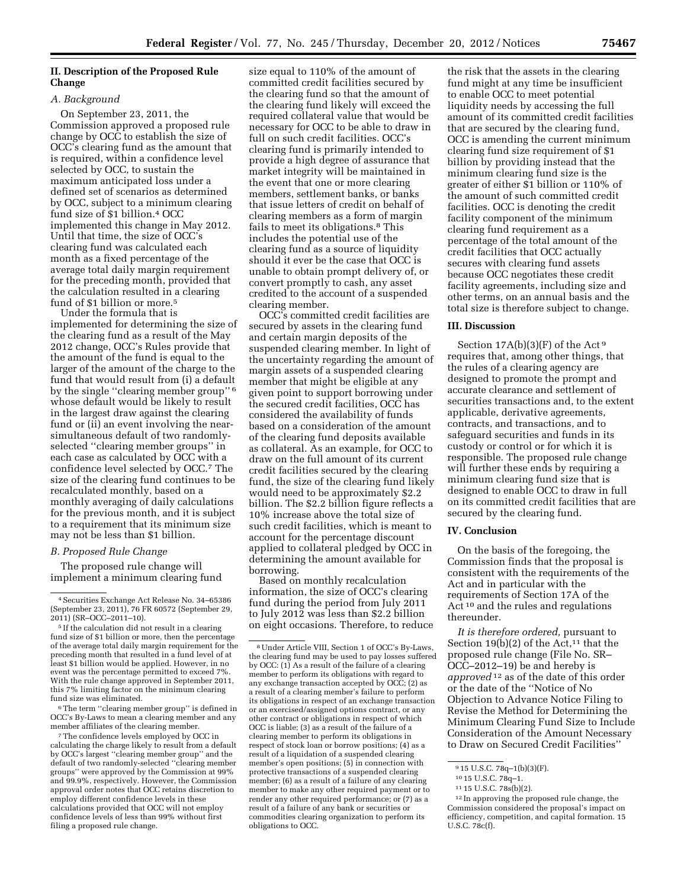# **II. Description of the Proposed Rule Change**

## *A. Background*

On September 23, 2011, the Commission approved a proposed rule change by OCC to establish the size of OCC's clearing fund as the amount that is required, within a confidence level selected by OCC, to sustain the maximum anticipated loss under a defined set of scenarios as determined by OCC, subject to a minimum clearing fund size of \$1 billion.4 OCC implemented this change in May 2012. Until that time, the size of OCC's clearing fund was calculated each month as a fixed percentage of the average total daily margin requirement for the preceding month, provided that the calculation resulted in a clearing fund of \$1 billion or more.<sup>5</sup>

Under the formula that is implemented for determining the size of the clearing fund as a result of the May 2012 change, OCC's Rules provide that the amount of the fund is equal to the larger of the amount of the charge to the fund that would result from (i) a default by the single ''clearing member group'' 6 whose default would be likely to result in the largest draw against the clearing fund or (ii) an event involving the nearsimultaneous default of two randomlyselected ''clearing member groups'' in each case as calculated by OCC with a confidence level selected by OCC.7 The size of the clearing fund continues to be recalculated monthly, based on a monthly averaging of daily calculations for the previous month, and it is subject to a requirement that its minimum size may not be less than \$1 billion.

### *B. Proposed Rule Change*

The proposed rule change will implement a minimum clearing fund

 $^{\rm 6}$  The term ''clearing member group'' is defined in OCC's By-Laws to mean a clearing member and any member affiliates of the clearing member.

7The confidence levels employed by OCC in calculating the charge likely to result from a default by OCC's largest ''clearing member group'' and the default of two randomly-selected ''clearing member groups'' were approved by the Commission at 99% and 99.9%, respectively. However, the Commission approval order notes that OCC retains discretion to employ different confidence levels in these calculations provided that OCC will not employ confidence levels of less than 99% without first filing a proposed rule change.

size equal to 110% of the amount of committed credit facilities secured by the clearing fund so that the amount of the clearing fund likely will exceed the required collateral value that would be necessary for OCC to be able to draw in full on such credit facilities. OCC's clearing fund is primarily intended to provide a high degree of assurance that market integrity will be maintained in the event that one or more clearing members, settlement banks, or banks that issue letters of credit on behalf of clearing members as a form of margin fails to meet its obligations.8 This includes the potential use of the clearing fund as a source of liquidity should it ever be the case that OCC is unable to obtain prompt delivery of, or convert promptly to cash, any asset credited to the account of a suspended clearing member.

OCC's committed credit facilities are secured by assets in the clearing fund and certain margin deposits of the suspended clearing member. In light of the uncertainty regarding the amount of margin assets of a suspended clearing member that might be eligible at any given point to support borrowing under the secured credit facilities, OCC has considered the availability of funds based on a consideration of the amount of the clearing fund deposits available as collateral. As an example, for OCC to draw on the full amount of its current credit facilities secured by the clearing fund, the size of the clearing fund likely would need to be approximately \$2.2 billion. The \$2.2 billion figure reflects a 10% increase above the total size of such credit facilities, which is meant to account for the percentage discount applied to collateral pledged by OCC in determining the amount available for borrowing.

Based on monthly recalculation information, the size of OCC's clearing fund during the period from July 2011 to July 2012 was less than \$2.2 billion on eight occasions. Therefore, to reduce

the risk that the assets in the clearing fund might at any time be insufficient to enable OCC to meet potential liquidity needs by accessing the full amount of its committed credit facilities that are secured by the clearing fund, OCC is amending the current minimum clearing fund size requirement of \$1 billion by providing instead that the minimum clearing fund size is the greater of either \$1 billion or 110% of the amount of such committed credit facilities. OCC is denoting the credit facility component of the minimum clearing fund requirement as a percentage of the total amount of the credit facilities that OCC actually secures with clearing fund assets because OCC negotiates these credit facility agreements, including size and other terms, on an annual basis and the total size is therefore subject to change.

#### **III. Discussion**

Section  $17A(b)(3)(F)$  of the Act<sup>9</sup> requires that, among other things, that the rules of a clearing agency are designed to promote the prompt and accurate clearance and settlement of securities transactions and, to the extent applicable, derivative agreements, contracts, and transactions, and to safeguard securities and funds in its custody or control or for which it is responsible. The proposed rule change will further these ends by requiring a minimum clearing fund size that is designed to enable OCC to draw in full on its committed credit facilities that are secured by the clearing fund.

### **IV. Conclusion**

On the basis of the foregoing, the Commission finds that the proposal is consistent with the requirements of the Act and in particular with the requirements of Section 17A of the Act 10 and the rules and regulations thereunder.

*It is therefore ordered,* pursuant to Section 19(b)(2) of the Act,<sup>11</sup> that the proposed rule change (File No. SR– OCC–2012–19) be and hereby is *approved* 12 as of the date of this order or the date of the ''Notice of No Objection to Advance Notice Filing to Revise the Method for Determining the Minimum Clearing Fund Size to Include Consideration of the Amount Necessary to Draw on Secured Credit Facilities''

<sup>4</sup>Securities Exchange Act Release No. 34–65386 (September 23, 2011), 76 FR 60572 (September 29, 2011) (SR–OCC–2011–10).

<sup>5</sup> If the calculation did not result in a clearing fund size of \$1 billion or more, then the percentage of the average total daily margin requirement for the preceding month that resulted in a fund level of at least \$1 billion would be applied. However, in no event was the percentage permitted to exceed 7%. With the rule change approved in September 2011, this 7% limiting factor on the minimum clearing fund size was eliminated.

<sup>8</sup>Under Article VIII, Section 1 of OCC's By-Laws, the clearing fund may be used to pay losses suffered by OCC: (1) As a result of the failure of a clearing member to perform its obligations with regard to any exchange transaction accepted by OCC; (2) as a result of a clearing member's failure to perform its obligations in respect of an exchange transaction or an exercised/assigned options contract, or any other contract or obligations in respect of which OCC is liable; (3) as a result of the failure of a clearing member to perform its obligations in respect of stock loan or borrow positions; (4) as a result of a liquidation of a suspended clearing member's open positions; (5) in connection with protective transactions of a suspended clearing member; (6) as a result of a failure of any clearing member to make any other required payment or to render any other required performance; or (7) as a result of a failure of any bank or securities or commodities clearing organization to perform its obligations to OCC.

 $\overline{915}$  U.S.C. 78q-1(b)(3)(F).

<sup>10</sup> 15 U.S.C. 78q–1.

<sup>11</sup> 15 U.S.C. 78s(b)(2).

<sup>12</sup> In approving the proposed rule change, the Commission considered the proposal's impact on efficiency, competition, and capital formation. 15 U.S.C. 78c(f).